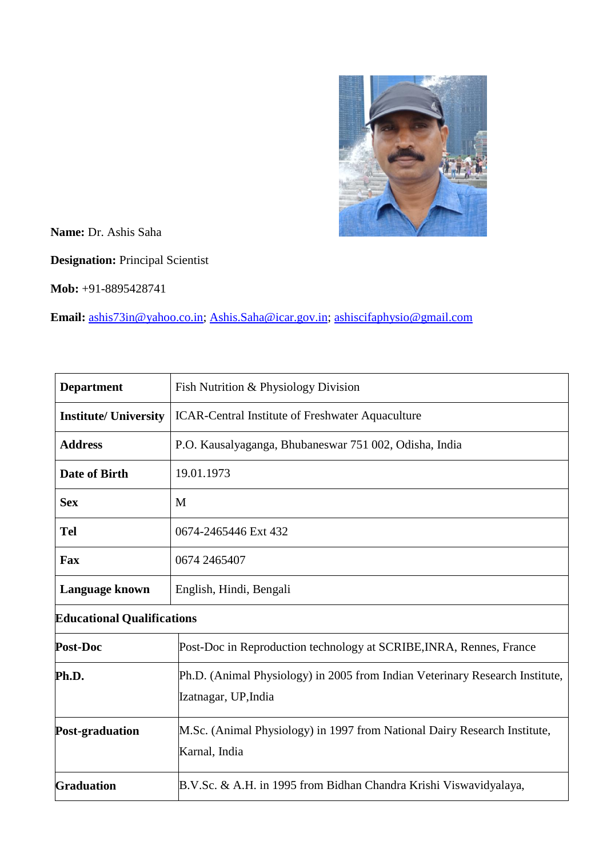

**Name:** Dr. Ashis Saha

**Designation:** Principal Scientist

**Mob:** +91-8895428741

**Email:** [ashis73in@yahoo.co.in;](mailto:ashis73in@yahoo.co.in) [Ashis.Saha@icar.gov.in;](mailto:Ashis.Saha@icar.gov.in) [ashiscifaphysio@gmail.com](mailto:ashiscifaphysio@gmail.com)

| <b>Department</b>                 | Fish Nutrition & Physiology Division                                                                 |  |
|-----------------------------------|------------------------------------------------------------------------------------------------------|--|
| <b>Institute/ University</b>      | <b>ICAR-Central Institute of Freshwater Aquaculture</b>                                              |  |
| <b>Address</b>                    | P.O. Kausalyaganga, Bhubaneswar 751 002, Odisha, India                                               |  |
| Date of Birth                     | 19.01.1973                                                                                           |  |
| <b>Sex</b>                        | M                                                                                                    |  |
| Tel                               | 0674-2465446 Ext 432                                                                                 |  |
| Fax                               | 0674 2465407                                                                                         |  |
| Language known                    | English, Hindi, Bengali                                                                              |  |
| <b>Educational Qualifications</b> |                                                                                                      |  |
| Post-Doc                          | Post-Doc in Reproduction technology at SCRIBE, INRA, Rennes, France                                  |  |
| Ph.D.                             | Ph.D. (Animal Physiology) in 2005 from Indian Veterinary Research Institute,<br>Izatnagar, UP, India |  |
| <b>Post-graduation</b>            | M.Sc. (Animal Physiology) in 1997 from National Dairy Research Institute,<br>Karnal, India           |  |
| Graduation                        | B.V.Sc. & A.H. in 1995 from Bidhan Chandra Krishi Viswavidyalaya,                                    |  |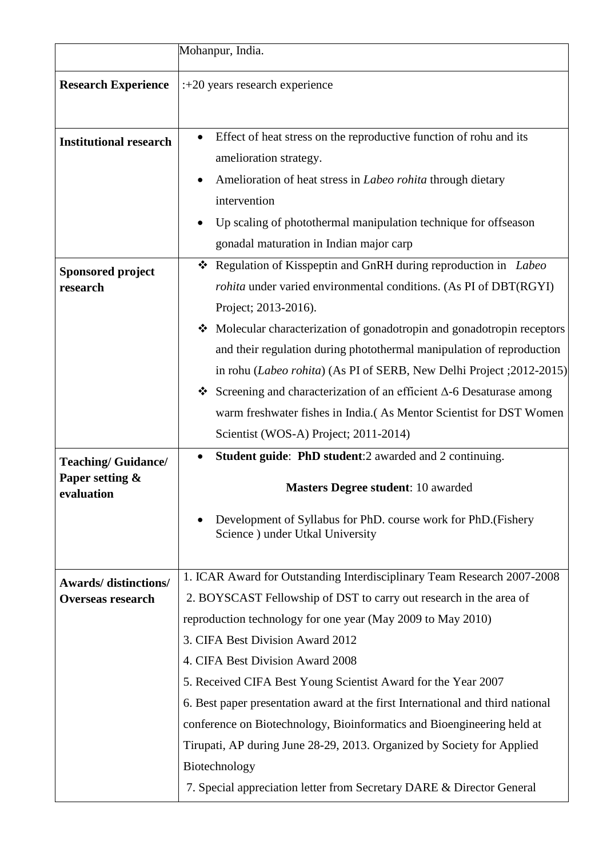|                                                                   | Mohanpur, India.                                                                                                                                                                                                                                                                                                                                                                                                                                                                                                                                                                                                                                                                      |
|-------------------------------------------------------------------|---------------------------------------------------------------------------------------------------------------------------------------------------------------------------------------------------------------------------------------------------------------------------------------------------------------------------------------------------------------------------------------------------------------------------------------------------------------------------------------------------------------------------------------------------------------------------------------------------------------------------------------------------------------------------------------|
| <b>Research Experience</b>                                        | $: +20$ years research experience                                                                                                                                                                                                                                                                                                                                                                                                                                                                                                                                                                                                                                                     |
| <b>Institutional research</b>                                     | Effect of heat stress on the reproductive function of rohu and its<br>amelioration strategy.<br>Amelioration of heat stress in <i>Labeo rohita</i> through dietary<br>intervention<br>Up scaling of photothermal manipulation technique for offseason<br>gonadal maturation in Indian major carp                                                                                                                                                                                                                                                                                                                                                                                      |
| <b>Sponsored project</b><br>research<br><b>Teaching/Guidance/</b> | * Regulation of Kisspeptin and GnRH during reproduction in Labeo<br><i>rohita</i> under varied environmental conditions. (As PI of DBT(RGYI)<br>Project; 2013-2016).<br>Molecular characterization of gonadotropin and gonadotropin receptors<br>and their regulation during photothermal manipulation of reproduction<br>in rohu (Labeo rohita) (As PI of SERB, New Delhi Project ; 2012-2015)<br>Screening and characterization of an efficient $\Delta$ -6 Desaturase among<br>warm freshwater fishes in India.(As Mentor Scientist for DST Women<br>Scientist (WOS-A) Project; 2011-2014)<br>Student guide: PhD student:2 awarded and 2 continuing.<br>٠                          |
| Paper setting &<br>evaluation                                     | <b>Masters Degree student: 10 awarded</b><br>Development of Syllabus for PhD. course work for PhD. (Fishery<br>Science) under Utkal University                                                                                                                                                                                                                                                                                                                                                                                                                                                                                                                                        |
| <b>Awards/</b> distinctions/<br><b>Overseas research</b>          | 1. ICAR Award for Outstanding Interdisciplinary Team Research 2007-2008<br>2. BOYSCAST Fellowship of DST to carry out research in the area of<br>reproduction technology for one year (May 2009 to May 2010)<br>3. CIFA Best Division Award 2012<br>4. CIFA Best Division Award 2008<br>5. Received CIFA Best Young Scientist Award for the Year 2007<br>6. Best paper presentation award at the first International and third national<br>conference on Biotechnology, Bioinformatics and Bioengineering held at<br>Tirupati, AP during June 28-29, 2013. Organized by Society for Applied<br>Biotechnology<br>7. Special appreciation letter from Secretary DARE & Director General |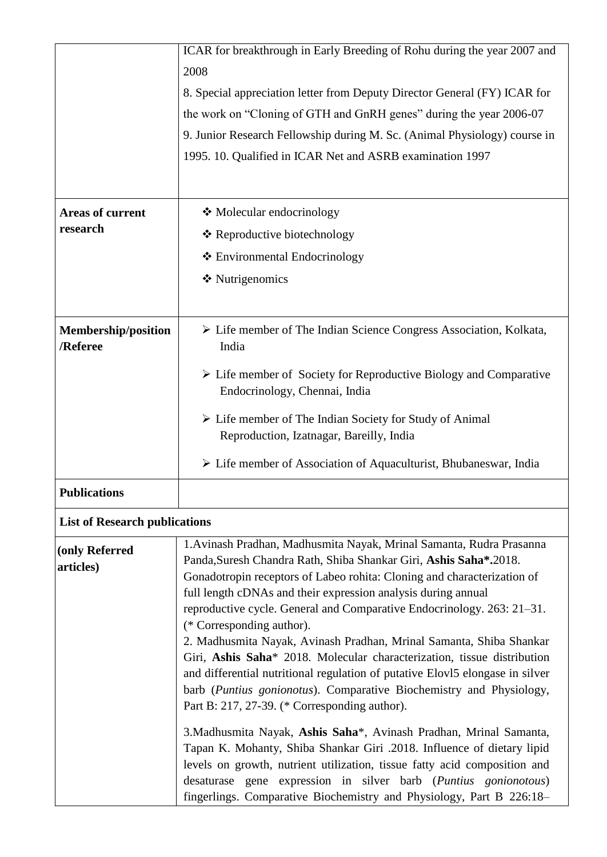|                                        | ICAR for breakthrough in Early Breeding of Rohu during the year 2007 and                                                                                                                                                                                                                                                                                                                                                                                                                                                                                                                                                                                                                                                                                                                                                                                                                                                                                                                                                                                                                                                        |
|----------------------------------------|---------------------------------------------------------------------------------------------------------------------------------------------------------------------------------------------------------------------------------------------------------------------------------------------------------------------------------------------------------------------------------------------------------------------------------------------------------------------------------------------------------------------------------------------------------------------------------------------------------------------------------------------------------------------------------------------------------------------------------------------------------------------------------------------------------------------------------------------------------------------------------------------------------------------------------------------------------------------------------------------------------------------------------------------------------------------------------------------------------------------------------|
|                                        |                                                                                                                                                                                                                                                                                                                                                                                                                                                                                                                                                                                                                                                                                                                                                                                                                                                                                                                                                                                                                                                                                                                                 |
|                                        | 2008                                                                                                                                                                                                                                                                                                                                                                                                                                                                                                                                                                                                                                                                                                                                                                                                                                                                                                                                                                                                                                                                                                                            |
|                                        | 8. Special appreciation letter from Deputy Director General (FY) ICAR for                                                                                                                                                                                                                                                                                                                                                                                                                                                                                                                                                                                                                                                                                                                                                                                                                                                                                                                                                                                                                                                       |
|                                        | the work on "Cloning of GTH and GnRH genes" during the year 2006-07                                                                                                                                                                                                                                                                                                                                                                                                                                                                                                                                                                                                                                                                                                                                                                                                                                                                                                                                                                                                                                                             |
|                                        | 9. Junior Research Fellowship during M. Sc. (Animal Physiology) course in                                                                                                                                                                                                                                                                                                                                                                                                                                                                                                                                                                                                                                                                                                                                                                                                                                                                                                                                                                                                                                                       |
|                                        | 1995. 10. Qualified in ICAR Net and ASRB examination 1997                                                                                                                                                                                                                                                                                                                                                                                                                                                                                                                                                                                                                                                                                                                                                                                                                                                                                                                                                                                                                                                                       |
|                                        |                                                                                                                                                                                                                                                                                                                                                                                                                                                                                                                                                                                                                                                                                                                                                                                                                                                                                                                                                                                                                                                                                                                                 |
| <b>Areas of current</b>                | ❖ Molecular endocrinology                                                                                                                                                                                                                                                                                                                                                                                                                                                                                                                                                                                                                                                                                                                                                                                                                                                                                                                                                                                                                                                                                                       |
| research                               | ❖ Reproductive biotechnology                                                                                                                                                                                                                                                                                                                                                                                                                                                                                                                                                                                                                                                                                                                                                                                                                                                                                                                                                                                                                                                                                                    |
|                                        | ❖ Environmental Endocrinology                                                                                                                                                                                                                                                                                                                                                                                                                                                                                                                                                                                                                                                                                                                                                                                                                                                                                                                                                                                                                                                                                                   |
|                                        | ❖ Nutrigenomics                                                                                                                                                                                                                                                                                                                                                                                                                                                                                                                                                                                                                                                                                                                                                                                                                                                                                                                                                                                                                                                                                                                 |
|                                        |                                                                                                                                                                                                                                                                                                                                                                                                                                                                                                                                                                                                                                                                                                                                                                                                                                                                                                                                                                                                                                                                                                                                 |
| <b>Membership/position</b><br>/Referee | > Life member of The Indian Science Congress Association, Kolkata,<br>India                                                                                                                                                                                                                                                                                                                                                                                                                                                                                                                                                                                                                                                                                                                                                                                                                                                                                                                                                                                                                                                     |
|                                        | $\triangleright$ Life member of Society for Reproductive Biology and Comparative<br>Endocrinology, Chennai, India                                                                                                                                                                                                                                                                                                                                                                                                                                                                                                                                                                                                                                                                                                                                                                                                                                                                                                                                                                                                               |
|                                        | $\triangleright$ Life member of The Indian Society for Study of Animal<br>Reproduction, Izatnagar, Bareilly, India                                                                                                                                                                                                                                                                                                                                                                                                                                                                                                                                                                                                                                                                                                                                                                                                                                                                                                                                                                                                              |
|                                        | $\triangleright$ Life member of Association of Aquaculturist, Bhubaneswar, India                                                                                                                                                                                                                                                                                                                                                                                                                                                                                                                                                                                                                                                                                                                                                                                                                                                                                                                                                                                                                                                |
| <b>Publications</b>                    |                                                                                                                                                                                                                                                                                                                                                                                                                                                                                                                                                                                                                                                                                                                                                                                                                                                                                                                                                                                                                                                                                                                                 |
| <b>List of Research publications</b>   |                                                                                                                                                                                                                                                                                                                                                                                                                                                                                                                                                                                                                                                                                                                                                                                                                                                                                                                                                                                                                                                                                                                                 |
| (only Referred<br>articles)            | 1. Avinash Pradhan, Madhusmita Nayak, Mrinal Samanta, Rudra Prasanna<br>Panda, Suresh Chandra Rath, Shiba Shankar Giri, Ashis Saha*.2018.<br>Gonadotropin receptors of Labeo rohita: Cloning and characterization of<br>full length cDNAs and their expression analysis during annual<br>reproductive cycle. General and Comparative Endocrinology. 263: 21–31.<br>(* Corresponding author).<br>2. Madhusmita Nayak, Avinash Pradhan, Mrinal Samanta, Shiba Shankar<br>Giri, Ashis Saha* 2018. Molecular characterization, tissue distribution<br>and differential nutritional regulation of putative Elov15 elongase in silver<br>barb (Puntius gonionotus). Comparative Biochemistry and Physiology,<br>Part B: 217, 27-39. (* Corresponding author).<br>3. Madhusmita Nayak, Ashis Saha*, Avinash Pradhan, Mrinal Samanta,<br>Tapan K. Mohanty, Shiba Shankar Giri .2018. Influence of dietary lipid<br>levels on growth, nutrient utilization, tissue fatty acid composition and<br>desaturase gene expression in silver barb (Puntius gonionotous)<br>fingerlings. Comparative Biochemistry and Physiology, Part B 226:18- |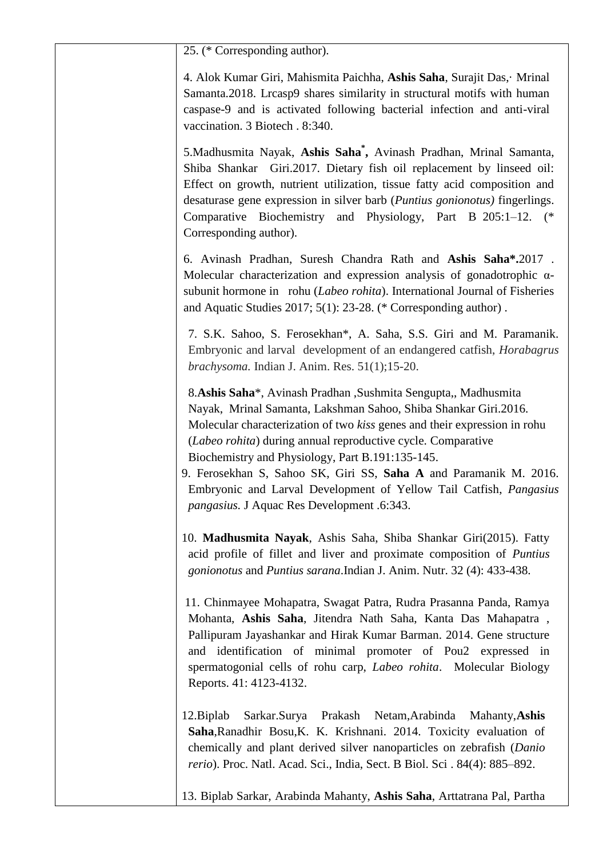25. (\* Corresponding author).

4. Alok Kumar Giri, Mahismita Paichha, **Ashis Saha**, Surajit Das,· Mrinal Samanta.2018. Lrcasp9 shares similarity in structural motifs with human caspase-9 and is activated following bacterial infection and anti-viral vaccination. 3 Biotech . 8:340.

5.Madhusmita Nayak, **Ashis Saha\* ,** Avinash Pradhan, Mrinal Samanta, Shiba Shankar Giri.2017. Dietary fish oil replacement by linseed oil: Effect on growth, nutrient utilization, tissue fatty acid composition and desaturase gene expression in silver barb (*Puntius gonionotus)* fingerlings. Comparative Biochemistry and Physiology, Part B 205:1–12. (\* Corresponding author).

6. Avinash Pradhan, Suresh Chandra Rath and **Ashis Saha\*.**2017 . Molecular characterization and expression analysis of gonadotrophic αsubunit hormone in rohu (*Labeo rohita*). International Journal of Fisheries and Aquatic Studies 2017; 5(1): 23-28. (\* Corresponding author) .

7. S.K. Sahoo, S. Ferosekhan\*, A. Saha, S.S. Giri and M. Paramanik. Embryonic and larval development of an endangered catfish, *Horabagrus brachysoma.* Indian J. Anim. Res. 51(1);15-20.

8.**Ashis Saha**\*, Avinash Pradhan ,Sushmita Sengupta,, Madhusmita Nayak, Mrinal Samanta, Lakshman Sahoo, Shiba Shankar Giri.2016. Molecular characterization of two *kiss* genes and their expression in rohu (*Labeo rohita*) during annual reproductive cycle. Comparative Biochemistry and Physiology, Part B.191:135-145.

 9. Ferosekhan S, Sahoo SK, Giri SS, **Saha A** and Paramanik M. 2016. Embryonic and Larval Development of Yellow Tail Catfish, *Pangasius pangasius.* J Aquac Res Development .6:343.

 10. **Madhusmita Nayak**, Ashis Saha, Shiba Shankar Giri(2015). Fatty acid profile of fillet and liver and proximate composition of *Puntius gonionotus* and *Puntius sarana*.Indian J. Anim. Nutr. 32 (4): 433-438.

 11. Chinmayee Mohapatra, Swagat Patra, Rudra Prasanna Panda, Ramya Mohanta, **Ashis Saha**, Jitendra Nath Saha, Kanta Das Mahapatra , Pallipuram Jayashankar and Hirak Kumar Barman. 2014. Gene structure and identification of minimal promoter of Pou2 expressed in spermatogonial cells of rohu carp, *Labeo rohita*. Molecular Biology Reports. 41: 4123-4132.

 12.Biplab Sarkar.Surya Prakash Netam,Arabinda Mahanty,**Ashis Saha**,Ranadhir Bosu,K. K. Krishnani. 2014. Toxicity evaluation of chemically and plant derived silver nanoparticles on zebrafish (*Danio rerio*). Proc. Natl. Acad. Sci., India, Sect. B Biol. Sci . 84(4): 885–892.

13. Biplab Sarkar, Arabinda Mahanty, **Ashis Saha**, Arttatrana Pal, Partha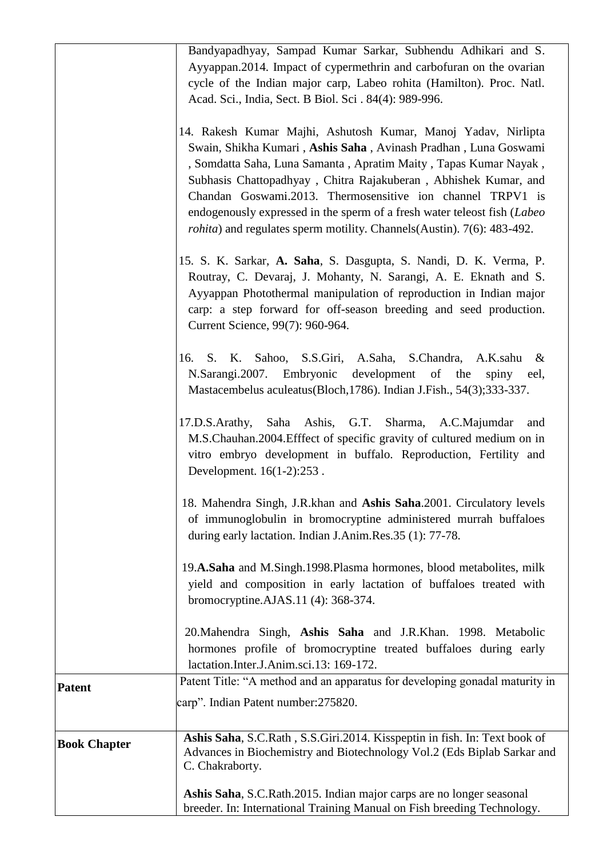|                     | Bandyapadhyay, Sampad Kumar Sarkar, Subhendu Adhikari and S.<br>Ayyappan. 2014. Impact of cypermethrin and carbofuran on the ovarian<br>cycle of the Indian major carp, Labeo rohita (Hamilton). Proc. Natl.<br>Acad. Sci., India, Sect. B Biol. Sci. 84(4): 989-996.                                                                                                                                                                                                                               |
|---------------------|-----------------------------------------------------------------------------------------------------------------------------------------------------------------------------------------------------------------------------------------------------------------------------------------------------------------------------------------------------------------------------------------------------------------------------------------------------------------------------------------------------|
|                     | 14. Rakesh Kumar Majhi, Ashutosh Kumar, Manoj Yadav, Nirlipta<br>Swain, Shikha Kumari, Ashis Saha, Avinash Pradhan, Luna Goswami<br>, Somdatta Saha, Luna Samanta, Apratim Maity, Tapas Kumar Nayak,<br>Subhasis Chattopadhyay, Chitra Rajakuberan, Abhishek Kumar, and<br>Chandan Goswami.2013. Thermosensitive ion channel TRPV1 is<br>endogenously expressed in the sperm of a fresh water teleost fish (Labeo<br><i>rohita</i> ) and regulates sperm motility. Channels(Austin). 7(6): 483-492. |
|                     | 15. S. K. Sarkar, A. Saha, S. Dasgupta, S. Nandi, D. K. Verma, P.<br>Routray, C. Devaraj, J. Mohanty, N. Sarangi, A. E. Eknath and S.<br>Ayyappan Photothermal manipulation of reproduction in Indian major<br>carp: a step forward for off-season breeding and seed production.<br>Current Science, 99(7): 960-964.                                                                                                                                                                                |
|                     | Sahoo, S.S.Giri, A.Saha,<br>S.Chandra,<br>16.<br>S. K.<br>A.K.sahu<br>&<br>N.Sarangi.2007. Embryonic<br>development of the<br>spiny eel,<br>Mastacembelus aculeatus (Bloch, 1786). Indian J.Fish., 54(3); 333-337.                                                                                                                                                                                                                                                                                  |
|                     | Saha Ashis, G.T. Sharma,<br>17.D.S.Arathy,<br>A.C.Majumdar<br>and<br>M.S.Chauhan.2004.Efffect of specific gravity of cultured medium on in<br>vitro embryo development in buffalo. Reproduction, Fertility and<br>Development. 16(1-2):253.                                                                                                                                                                                                                                                         |
|                     | 18. Mahendra Singh, J.R.khan and Ashis Saha.2001. Circulatory levels<br>of immunoglobulin in bromocryptine administered murrah buffaloes<br>during early lactation. Indian J.Anim.Res.35 (1): 77-78.                                                                                                                                                                                                                                                                                                |
|                     | 19.A.Saha and M.Singh.1998.Plasma hormones, blood metabolites, milk<br>yield and composition in early lactation of buffaloes treated with<br>bromocryptine.AJAS.11 (4): 368-374.                                                                                                                                                                                                                                                                                                                    |
|                     | 20. Mahendra Singh, Ashis Saha and J.R.Khan. 1998. Metabolic<br>hormones profile of bromocryptine treated buffaloes during early<br>lactation.Inter.J.Anim.sci.13: 169-172.                                                                                                                                                                                                                                                                                                                         |
| <b>Patent</b>       | Patent Title: "A method and an apparatus for developing gonadal maturity in<br>carp". Indian Patent number: 275820.                                                                                                                                                                                                                                                                                                                                                                                 |
| <b>Book Chapter</b> | Ashis Saha, S.C.Rath, S.S.Giri.2014. Kisspeptin in fish. In: Text book of<br>Advances in Biochemistry and Biotechnology Vol.2 (Eds Biplab Sarkar and<br>C. Chakraborty.                                                                                                                                                                                                                                                                                                                             |
|                     | Ashis Saha, S.C.Rath.2015. Indian major carps are no longer seasonal<br>breeder. In: International Training Manual on Fish breeding Technology.                                                                                                                                                                                                                                                                                                                                                     |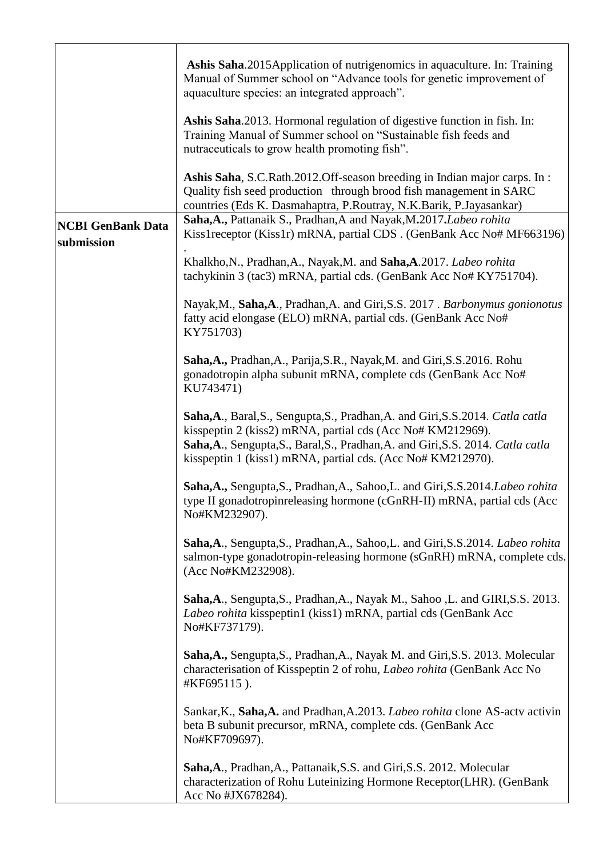|                                        | Ashis Saha.2015Application of nutrigenomics in aquaculture. In: Training<br>Manual of Summer school on "Advance tools for genetic improvement of<br>aquaculture species: an integrated approach".                                                                                               |
|----------------------------------------|-------------------------------------------------------------------------------------------------------------------------------------------------------------------------------------------------------------------------------------------------------------------------------------------------|
|                                        | Ashis Saha.2013. Hormonal regulation of digestive function in fish. In:<br>Training Manual of Summer school on "Sustainable fish feeds and<br>nutraceuticals to grow health promoting fish".                                                                                                    |
|                                        | Ashis Saha, S.C.Rath.2012.Off-season breeding in Indian major carps. In:<br>Quality fish seed production through brood fish management in SARC<br>countries (Eds K. Dasmahaptra, P.Routray, N.K.Barik, P.Jayasankar)                                                                            |
| <b>NCBI GenBank Data</b><br>submission | Saha, A., Pattanaik S., Pradhan, A and Nayak, M.2017. Labeo rohita<br>Kiss1receptor (Kiss1r) mRNA, partial CDS. (GenBank Acc No# MF663196)                                                                                                                                                      |
|                                        | Khalkho, N., Pradhan, A., Nayak, M. and Saha, A. 2017. Labeo rohita<br>tachykinin 3 (tac3) mRNA, partial cds. (GenBank Acc No# KY751704).                                                                                                                                                       |
|                                        | Nayak, M., Saha, A., Pradhan, A. and Giri, S.S. 2017. Barbonymus gonionotus<br>fatty acid elongase (ELO) mRNA, partial cds. (GenBank Acc No#<br>KY751703)                                                                                                                                       |
|                                        | Saha, A., Pradhan, A., Parija, S.R., Nayak, M. and Giri, S.S. 2016. Rohu<br>gonadotropin alpha subunit mRNA, complete cds (GenBank Acc No#<br>KU743471)                                                                                                                                         |
|                                        | Saha, A., Baral, S., Sengupta, S., Pradhan, A. and Giri, S.S. 2014. Catla catla<br>kisspeptin 2 (kiss2) mRNA, partial cds (Acc No# KM212969).<br>Saha, A., Sengupta, S., Baral, S., Pradhan, A. and Giri, S.S. 2014. Catla catla<br>kisspeptin 1 (kiss1) mRNA, partial cds. (Acc No# KM212970). |
|                                        | Saha, A., Sengupta, S., Pradhan, A., Sahoo, L. and Giri, S.S. 2014. Labeo rohita<br>type II gonadotropinreleasing hormone (cGnRH-II) mRNA, partial cds (Acc<br>No#KM232907).                                                                                                                    |
|                                        | Saha, A., Sengupta, S., Pradhan, A., Sahoo, L. and Giri, S.S. 2014. Labeo rohita<br>salmon-type gonadotropin-releasing hormone (sGnRH) mRNA, complete cds.<br>(Acc No#KM232908).                                                                                                                |
|                                        | Saha, A., Sengupta, S., Pradhan, A., Nayak M., Sahoo, L. and GIRI, S.S. 2013.<br>Labeo rohita kisspeptin1 (kiss1) mRNA, partial cds (GenBank Acc<br>No#KF737179).                                                                                                                               |
|                                        | Saha, A., Sengupta, S., Pradhan, A., Nayak M. and Giri, S.S. 2013. Molecular<br>characterisation of Kisspeptin 2 of rohu, <i>Labeo rohita</i> (GenBank Acc No<br>#KF695115).                                                                                                                    |
|                                        | Sankar, K., Saha, A. and Pradhan, A.2013. Labeo rohita clone AS-actv activin<br>beta B subunit precursor, mRNA, complete cds. (GenBank Acc<br>No#KF709697).                                                                                                                                     |
|                                        | Saha, A., Pradhan, A., Pattanaik, S.S. and Giri, S.S. 2012. Molecular<br>characterization of Rohu Luteinizing Hormone Receptor(LHR). (GenBank<br>Acc No #JX678284).                                                                                                                             |